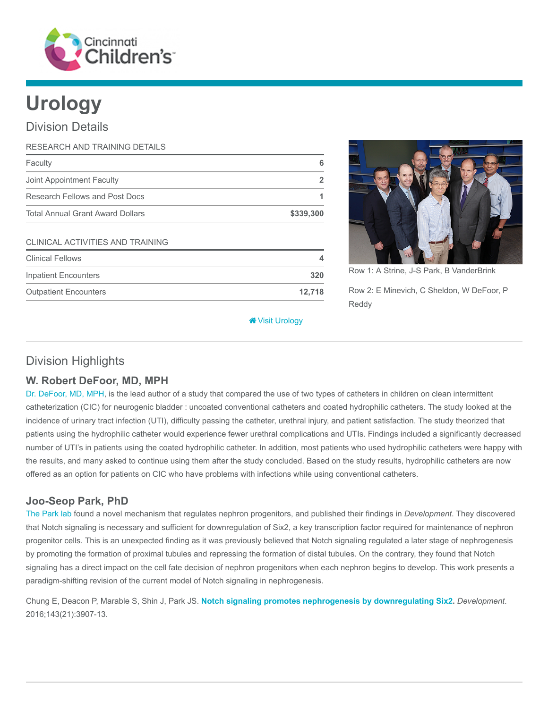

# Urology

## Division Details

| RESEARCH AND TRAINING DETAILS           |                |
|-----------------------------------------|----------------|
| Faculty                                 | 6              |
| Joint Appointment Faculty               | $\overline{2}$ |
| Research Fellows and Post Docs          |                |
| <b>Total Annual Grant Award Dollars</b> | \$339,300      |
| CLINICAL ACTIVITIES AND TRAINING        |                |
| <b>Clinical Fellows</b>                 | 4              |
| <b>Inpatient Encounters</b>             | 320            |
| <b>Outpatient Encounters</b>            | 12,718         |



Row 1: A Strine, J-S Park, B VanderBrink Row 2: E Minevich, C Sheldon, W DeFoor, P Reddy

[Visit Urology](https://www.cincinnatichildrens.org/research/divisions/u/urology)

## Division Highlights

#### W. Robert DeFoor, MD, MPH

[Dr. DeFoor, MD, MPH,](https://www.cincinnatichildrens.org/bio/d/william-defoor) is the lead author of a study that compared the use of two types of catheters in children on clean intermittent catheterization (CIC) for neurogenic bladder : uncoated conventional catheters and coated hydrophilic catheters. The study looked at the incidence of urinary tract infection (UTI), difficulty passing the catheter, urethral injury, and patient satisfaction. The study theorized that patients using the hydrophilic catheter would experience fewer urethral complications and UTIs. Findings included a significantly decreased number of UTI's in patients using the coated hydrophilic catheter. In addition, most patients who used hydrophilic catheters were happy with the results, and many asked to continue using them after the study concluded. Based on the study results, hydrophilic catheters are now offered as an option for patients on CIC who have problems with infections while using conventional catheters.

### Joo-Seop Park, PhD

[The Park lab](https://www.cincinnatichildrens.org/research/divisions/u/urology/labs/park) found a novel mechanism that regulates nephron progenitors, and published their findings in *Development*. They discovered that Notch signaling is necessary and sufficient for downregulation of Six2, a key transcription factor required for maintenance of nephron progenitor cells. This is an unexpected finding as it was previously believed that Notch signaling regulated a later stage of nephrogenesis by promoting the formation of proximal tubules and repressing the formation of distal tubules. On the contrary, they found that Notch signaling has a direct impact on the cell fate decision of nephron progenitors when each nephron begins to develop. This work presents a paradigm-shifting revision of the current model of Notch signaling in nephrogenesis.

Chung E, Deacon P, Marable S, Shin J, Park JS. [Notch signaling promotes nephrogenesis by downregulating Six2.](https://www.ncbi.nlm.nih.gov/pubmed/27633993) Development. 2016;143(21):3907-13.